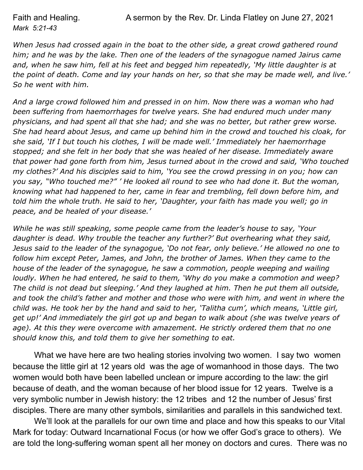*Mark 5:21-43*

*When Jesus had crossed again in the boat to the other side, a great crowd gathered round him; and he was by the lake. Then one of the leaders of the synagogue named Jairus came and, when he saw him, fell at his feet and begged him repeatedly, 'My little daughter is at the point of death. Come and lay your hands on her, so that she may be made well, and live.' So he went with him.*

*And a large crowd followed him and pressed in on him. Now there was a woman who had been suffering from haemorrhages for twelve years. She had endured much under many physicians, and had spent all that she had; and she was no better, but rather grew worse. She had heard about Jesus, and came up behind him in the crowd and touched his cloak, for she said, 'If I but touch his clothes, I will be made well.' Immediately her haemorrhage stopped; and she felt in her body that she was healed of her disease. Immediately aware that power had gone forth from him, Jesus turned about in the crowd and said, 'Who touched my clothes?' And his disciples said to him, 'You see the crowd pressing in on you; how can you say, "Who touched me?" ' He looked all round to see who had done it. But the woman, knowing what had happened to her, came in fear and trembling, fell down before him, and told him the whole truth. He said to her, 'Daughter, your faith has made you well; go in peace, and be healed of your disease.'*

*While he was still speaking, some people came from the leader's house to say, 'Your daughter is dead. Why trouble the teacher any further?' But overhearing what they said, Jesus said to the leader of the synagogue, 'Do not fear, only believe.' He allowed no one to follow him except Peter, James, and John, the brother of James. When they came to the house of the leader of the synagogue, he saw a commotion, people weeping and wailing loudly. When he had entered, he said to them, 'Why do you make a commotion and weep? The child is not dead but sleeping.' And they laughed at him. Then he put them all outside, and took the child's father and mother and those who were with him, and went in where the child was. He took her by the hand and said to her, 'Talitha cum', which means, 'Little girl, get up!' And immediately the girl got up and began to walk about (she was twelve years of age). At this they were overcome with amazement. He strictly ordered them that no one should know this, and told them to give her something to eat.*

What we have here are two healing stories involving two women. I say two women because the little girl at 12 years old was the age of womanhood in those days. The two women would both have been labelled unclean or impure according to the law: the girl because of death, and the woman because of her blood issue for 12 years. Twelve is a very symbolic number in Jewish history: the 12 tribes and 12 the number of Jesus' first disciples. There are many other symbols, similarities and parallels in this sandwiched text.

We'll look at the parallels for our own time and place and how this speaks to our Vital Mark for today: Outward Incarnational Focus (or how we offer God's grace to others). We are told the long-suffering woman spent all her money on doctors and cures. There was no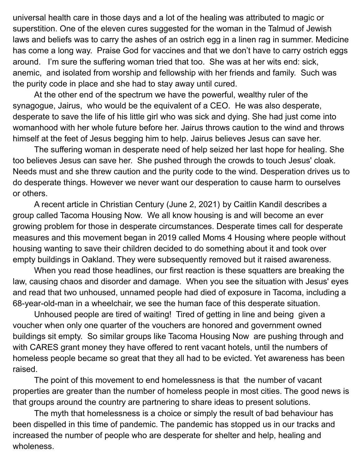universal health care in those days and a lot of the healing was attributed to magic or superstition. One of the eleven cures suggested for the woman in the Talmud of Jewish laws and beliefs was to carry the ashes of an ostrich egg in a linen rag in summer. Medicine has come a long way. Praise God for vaccines and that we don't have to carry ostrich eggs around. I'm sure the suffering woman tried that too. She was at her wits end: sick, anemic, and isolated from worship and fellowship with her friends and family. Such was the purity code in place and she had to stay away until cured.

At the other end of the spectrum we have the powerful, wealthy ruler of the synagogue, Jairus, who would be the equivalent of a CEO. He was also desperate, desperate to save the life of his little girl who was sick and dying. She had just come into womanhood with her whole future before her. Jairus throws caution to the wind and throws himself at the feet of Jesus begging him to help. Jairus believes Jesus can save her.

The suffering woman in desperate need of help seized her last hope for healing. She too believes Jesus can save her. She pushed through the crowds to touch Jesus' cloak. Needs must and she threw caution and the purity code to the wind. Desperation drives us to do desperate things. However we never want our desperation to cause harm to ourselves or others.

A recent article in Christian Century (June 2, 2021) by Caitlin Kandil describes a group called Tacoma Housing Now. We all know housing is and will become an ever growing problem for those in desperate circumstances. Desperate times call for desperate measures and this movement began in 2019 called Moms 4 Housing where people without housing wanting to save their children decided to do something about it and took over empty buildings in Oakland. They were subsequently removed but it raised awareness.

When you read those headlines, our first reaction is these squatters are breaking the law, causing chaos and disorder and damage. When you see the situation with Jesus' eyes and read that two unhoused, unnamed people had died of exposure in Tacoma, including a 68-year-old-man in a wheelchair, we see the human face of this desperate situation.

Unhoused people are tired of waiting! Tired of getting in line and being given a voucher when only one quarter of the vouchers are honored and government owned buildings sit empty. So similar groups like Tacoma Housing Now are pushing through and with CARES grant money they have offered to rent vacant hotels, until the numbers of homeless people became so great that they all had to be evicted. Yet awareness has been raised.

The point of this movement to end homelessness is that the number of vacant properties are greater than the number of homeless people in most cities. The good news is that groups around the country are partnering to share ideas to present solutions.

The myth that homelessness is a choice or simply the result of bad behaviour has been dispelled in this time of pandemic. The pandemic has stopped us in our tracks and increased the number of people who are desperate for shelter and help, healing and wholeness.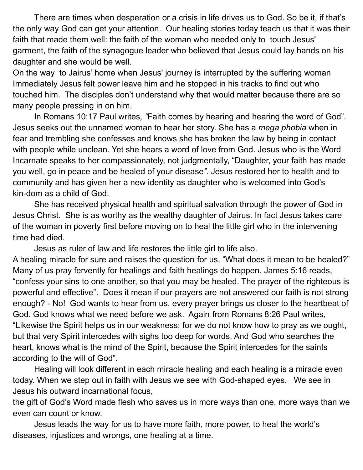There are times when desperation or a crisis in life drives us to God. So be it, if that's the only way God can get your attention. Our healing stories today teach us that it was their faith that made them well: the faith of the woman who needed only to touch Jesus' garment, the faith of the synagogue leader who believed that Jesus could lay hands on his daughter and she would be well.

On the way to Jairus' home when Jesus' journey is interrupted by the suffering woman Immediately Jesus felt power leave him and he stopped in his tracks to find out who touched him. The disciples don't understand why that would matter because there are so many people pressing in on him.

In Romans 10:17 Paul writes*, "*Faith comes by hearing and hearing the word of God"*.* Jesus seeks out the unnamed woman to hear her story. She has a *mega phobia* when in fear and trembling she confesses and knows she has broken the law by being in contact with people while unclean. Yet she hears a word of love from God. Jesus who is the Word Incarnate speaks to her compassionately, not judgmentally, "Daughter, your faith has made you well, go in peace and be healed of your disease*"*. Jesus restored her to health and to community and has given her a new identity as daughter who is welcomed into God's kin-dom as a child of God.

She has received physical health and spiritual salvation through the power of God in Jesus Christ. She is as worthy as the wealthy daughter of Jairus. In fact Jesus takes care of the woman in poverty first before moving on to heal the little girl who in the intervening time had died.

Jesus as ruler of law and life restores the little girl to life also.

A healing miracle for sure and raises the question for us, "What does it mean to be healed?" Many of us pray fervently for healings and faith healings do happen. James 5:16 reads, "confess your sins to one another, so that you may be healed. The prayer of the righteous is powerful and effective". Does it mean if our prayers are not answered our faith is not strong enough? - No! God wants to hear from us, every prayer brings us closer to the heartbeat of God. God knows what we need before we ask. Again from Romans 8:26 Paul writes, "Likewise the Spirit helps us in our weakness; for we do not know how to pray as we ought, but that very Spirit intercedes with sighs too deep for words. And God who searches the heart, knows what is the mind of the Spirit, because the Spirit intercedes for the saints according to the will of God"*.*

Healing will look different in each miracle healing and each healing is a miracle even today. When we step out in faith with Jesus we see with God-shaped eyes. We see in Jesus his outward incarnational focus,

the gift of God's Word made flesh who saves us in more ways than one, more ways than we even can count or know.

Jesus leads the way for us to have more faith, more power, to heal the world's diseases, injustices and wrongs, one healing at a time.